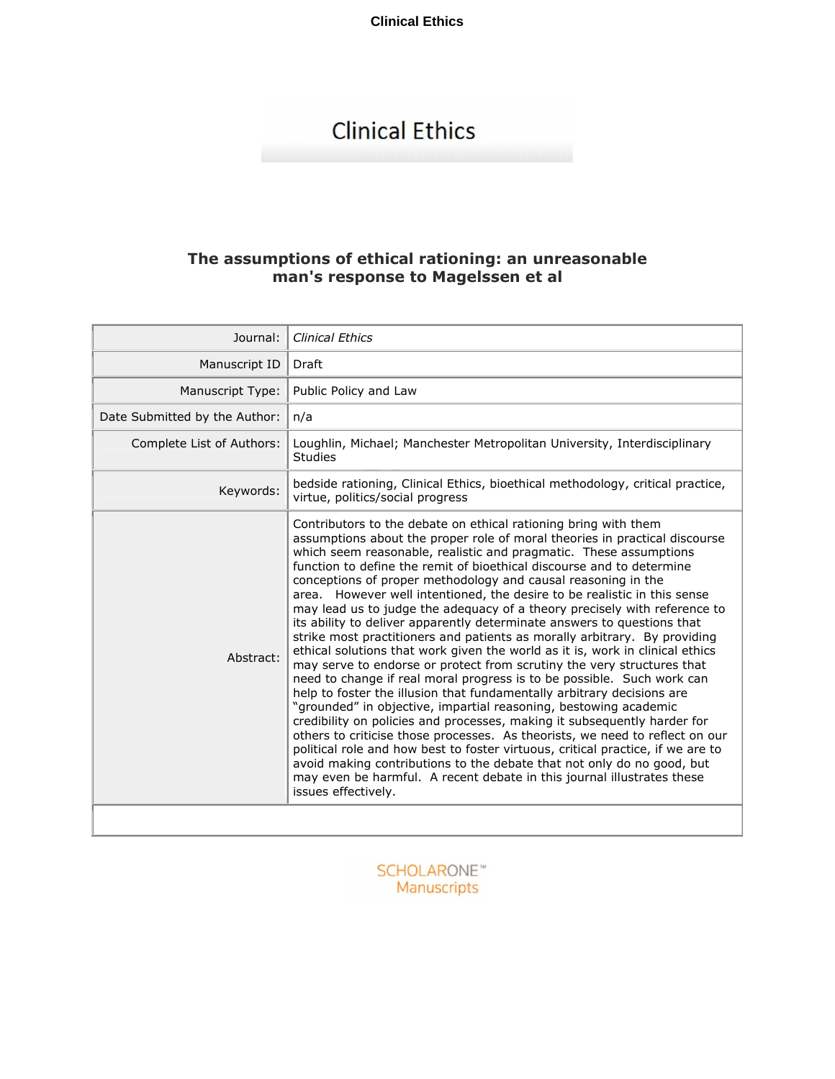**Clinical Ethics**

# **Clinical Ethics**

## **The assumptions of ethical rationing: an unreasonable man's response to Magelssen et al**

| Journal:                      | <b>Clinical Ethics</b>                                                                                                                                                                                                                                                                                                                                                                                                                                                                                                                                                                                                                                                                                                                                                                                                                                                                                                                                                                                                                                                                                                                                                                                                                                                                                                                                                                                                                                                                     |
|-------------------------------|--------------------------------------------------------------------------------------------------------------------------------------------------------------------------------------------------------------------------------------------------------------------------------------------------------------------------------------------------------------------------------------------------------------------------------------------------------------------------------------------------------------------------------------------------------------------------------------------------------------------------------------------------------------------------------------------------------------------------------------------------------------------------------------------------------------------------------------------------------------------------------------------------------------------------------------------------------------------------------------------------------------------------------------------------------------------------------------------------------------------------------------------------------------------------------------------------------------------------------------------------------------------------------------------------------------------------------------------------------------------------------------------------------------------------------------------------------------------------------------------|
| Manuscript ID                 | <b>Draft</b>                                                                                                                                                                                                                                                                                                                                                                                                                                                                                                                                                                                                                                                                                                                                                                                                                                                                                                                                                                                                                                                                                                                                                                                                                                                                                                                                                                                                                                                                               |
| Manuscript Type:              | Public Policy and Law                                                                                                                                                                                                                                                                                                                                                                                                                                                                                                                                                                                                                                                                                                                                                                                                                                                                                                                                                                                                                                                                                                                                                                                                                                                                                                                                                                                                                                                                      |
| Date Submitted by the Author: | n/a                                                                                                                                                                                                                                                                                                                                                                                                                                                                                                                                                                                                                                                                                                                                                                                                                                                                                                                                                                                                                                                                                                                                                                                                                                                                                                                                                                                                                                                                                        |
| Complete List of Authors:     | Loughlin, Michael; Manchester Metropolitan University, Interdisciplinary<br><b>Studies</b>                                                                                                                                                                                                                                                                                                                                                                                                                                                                                                                                                                                                                                                                                                                                                                                                                                                                                                                                                                                                                                                                                                                                                                                                                                                                                                                                                                                                 |
| Keywords:                     | bedside rationing, Clinical Ethics, bioethical methodology, critical practice,<br>virtue, politics/social progress                                                                                                                                                                                                                                                                                                                                                                                                                                                                                                                                                                                                                                                                                                                                                                                                                                                                                                                                                                                                                                                                                                                                                                                                                                                                                                                                                                         |
| Abstract:                     | Contributors to the debate on ethical rationing bring with them<br>assumptions about the proper role of moral theories in practical discourse<br>which seem reasonable, realistic and pragmatic. These assumptions<br>function to define the remit of bioethical discourse and to determine<br>conceptions of proper methodology and causal reasoning in the<br>area. However well intentioned, the desire to be realistic in this sense<br>may lead us to judge the adequacy of a theory precisely with reference to<br>its ability to deliver apparently determinate answers to questions that<br>strike most practitioners and patients as morally arbitrary. By providing<br>ethical solutions that work given the world as it is, work in clinical ethics<br>may serve to endorse or protect from scrutiny the very structures that<br>need to change if real moral progress is to be possible. Such work can<br>help to foster the illusion that fundamentally arbitrary decisions are<br>"grounded" in objective, impartial reasoning, bestowing academic<br>credibility on policies and processes, making it subsequently harder for<br>others to criticise those processes. As theorists, we need to reflect on our<br>political role and how best to foster virtuous, critical practice, if we are to<br>avoid making contributions to the debate that not only do no good, but<br>may even be harmful. A recent debate in this journal illustrates these<br>issues effectively. |
|                               |                                                                                                                                                                                                                                                                                                                                                                                                                                                                                                                                                                                                                                                                                                                                                                                                                                                                                                                                                                                                                                                                                                                                                                                                                                                                                                                                                                                                                                                                                            |

**SCHOLARONE™** Manuscripts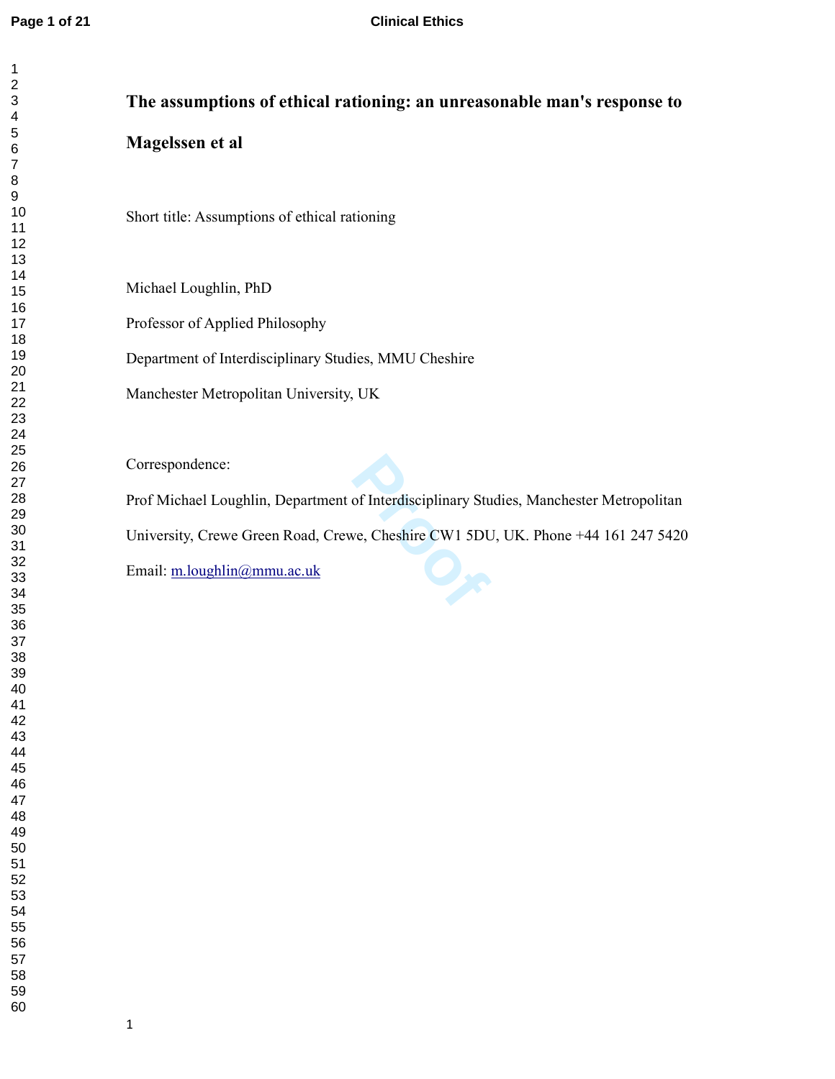| 41       |
|----------|
| 42       |
| 43       |
|          |
| 44       |
| 45       |
| 46       |
| 47       |
|          |
| 48       |
| 49       |
| 50       |
|          |
| 51<br>52 |
|          |
| 5<br>ś   |
| 54       |
| 55       |
|          |
| 56       |
| 57       |
| 58       |
| 59<br>)  |
|          |

# **The assumptions of ethical rationing: an unreasonable man's response to**

**Magelssen et al**

Short title: Assumptions of ethical rationing

Michael Loughlin, PhD

Professor of Applied Philosophy

Department of Interdisciplinary Studies, MMU Cheshire

Manchester Metropolitan University, UK

Correspondence:

of Interdisciplinary Stute<br>
we, Cheshire CW1 5DU Prof Michael Loughlin, Department of Interdisciplinary Studies, Manchester Metropolitan

University, Crewe Green Road, Crewe, Cheshire CW1 5DU, UK. Phone +44 161 247 5420

Email: m.loughlin@mmu.ac.uk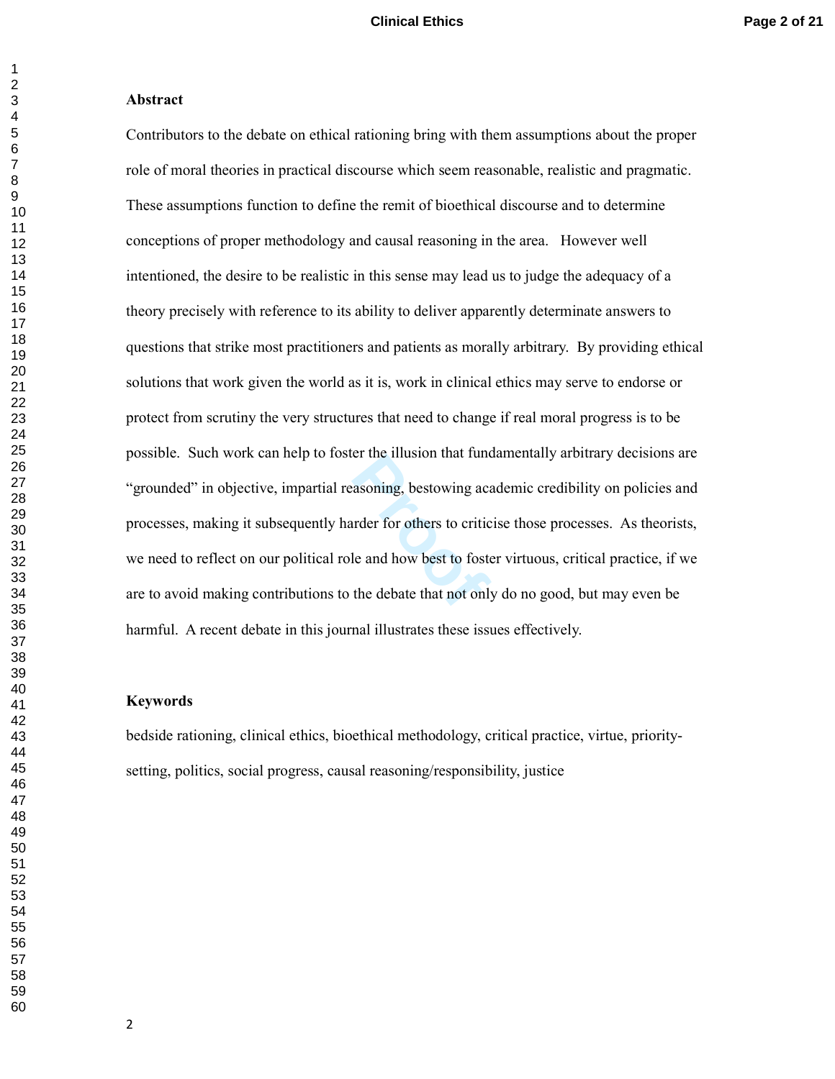#### **Abstract**

er the musion that rund<br>asoning, bestowing acarder for others to critic<br>le and how best to fosta<br>the debate that not only Contributors to the debate on ethical rationing bring with them assumptions about the proper role of moral theories in practical discourse which seem reasonable, realistic and pragmatic. These assumptions function to define the remit of bioethical discourse and to determine conceptions of proper methodology and causal reasoning in the area. However well intentioned, the desire to be realistic in this sense may lead us to judge the adequacy of a theory precisely with reference to its ability to deliver apparently determinate answers to questions that strike most practitioners and patients as morally arbitrary. By providing ethical solutions that work given the world as it is, work in clinical ethics may serve to endorse or protect from scrutiny the very structures that need to change if real moral progress is to be possible. Such work can help to foster the illusion that fundamentally arbitrary decisions are "grounded" in objective, impartial reasoning, bestowing academic credibility on policies and processes, making it subsequently harder for others to criticise those processes. As theorists, we need to reflect on our political role and how best to foster virtuous, critical practice, if we are to avoid making contributions to the debate that not only do no good, but may even be harmful. A recent debate in this journal illustrates these issues effectively.

#### **Keywords**

bedside rationing, clinical ethics, bioethical methodology, critical practice, virtue, prioritysetting, politics, social progress, causal reasoning/responsibility, justice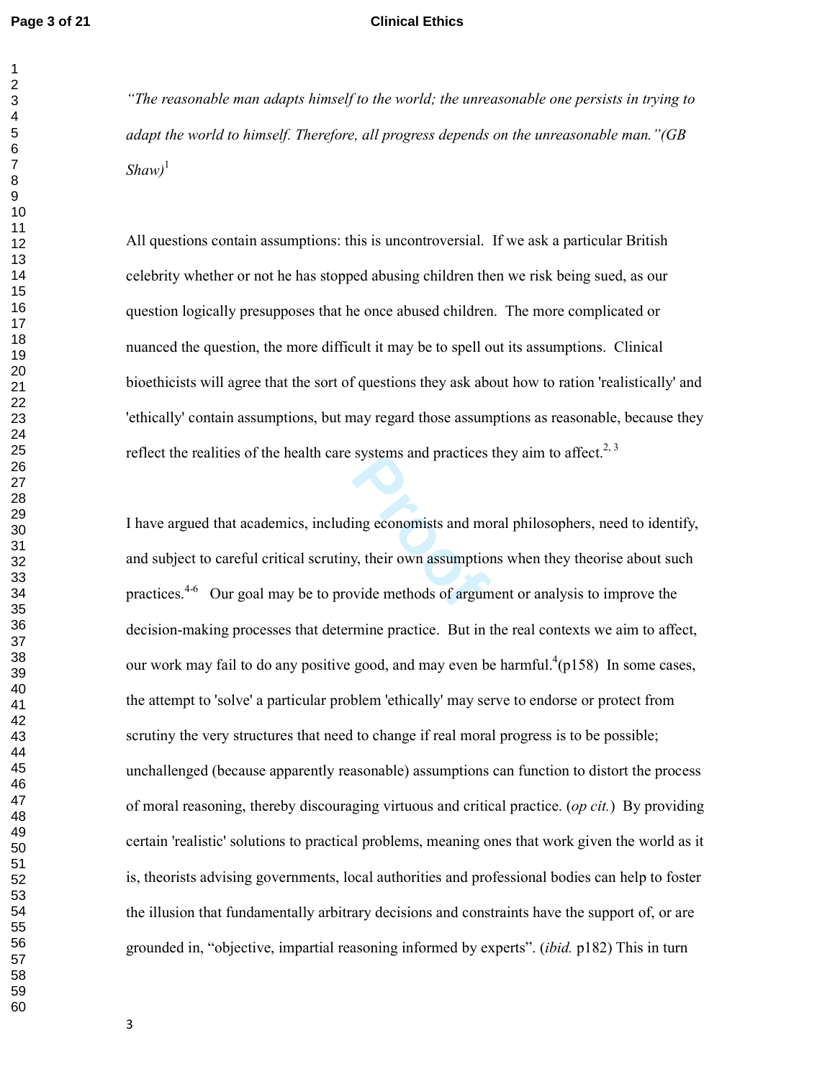#### **Page 3 of 21 Clinical Ethics**

*"The reasonable man adapts himself to the world; the unreasonable one persists in trying to adapt the world to himself. Therefore, all progress depends on the unreasonable man."(GB*   $Shaw$ <sup>1</sup>

All questions contain assumptions: this is uncontroversial. If we ask a particular British celebrity whether or not he has stopped abusing children then we risk being sued, as our question logically presupposes that he once abused children. The more complicated or nuanced the question, the more difficult it may be to spell out its assumptions. Clinical bioethicists will agree that the sort of questions they ask about how to ration 'realistically' and 'ethically' contain assumptions, but may regard those assumptions as reasonable, because they reflect the realities of the health care systems and practices they aim to affect.<sup>2, 3</sup>

systems and practices<br>ing economists and mo<br>y, their own assumption<br>vide methods of argum I have argued that academics, including economists and moral philosophers, need to identify, and subject to careful critical scrutiny, their own assumptions when they theorise about such practices.4-6 Our goal may be to provide methods of argument or analysis to improve the decision-making processes that determine practice. But in the real contexts we aim to affect, our work may fail to do any positive good, and may even be harmful.  $^{4}(p158)$  In some cases, the attempt to 'solve' a particular problem 'ethically' may serve to endorse or protect from scrutiny the very structures that need to change if real moral progress is to be possible; unchallenged (because apparently reasonable) assumptions can function to distort the process of moral reasoning, thereby discouraging virtuous and critical practice. (*op cit.*) By providing certain 'realistic' solutions to practical problems, meaning ones that work given the world as it is, theorists advising governments, local authorities and professional bodies can help to foster the illusion that fundamentally arbitrary decisions and constraints have the support of, or are grounded in, "objective, impartial reasoning informed by experts". (*ibid.* p182) This in turn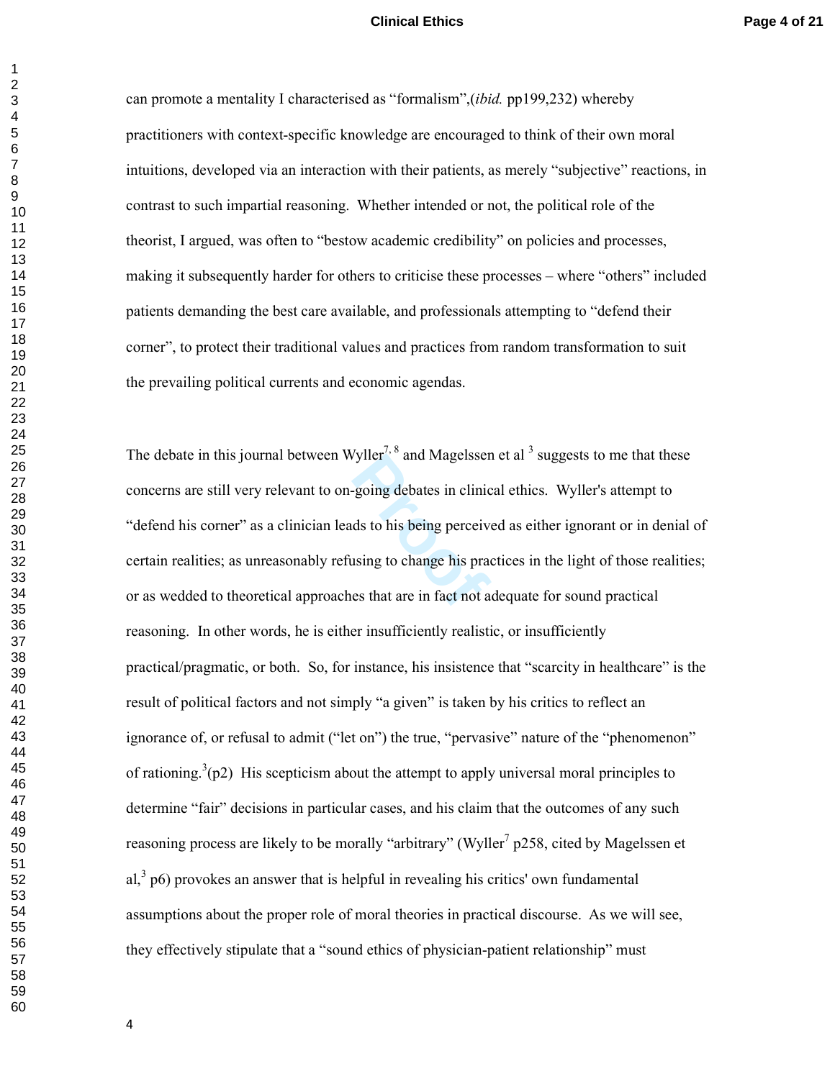### **Clinical Ethics Page 4 of 21**

can promote a mentality I characterised as "formalism",(*ibid.* pp199,232) whereby practitioners with context-specific knowledge are encouraged to think of their own moral intuitions, developed via an interaction with their patients, as merely "subjective" reactions, in contrast to such impartial reasoning. Whether intended or not, the political role of the theorist, I argued, was often to "bestow academic credibility" on policies and processes, making it subsequently harder for others to criticise these processes – where "others" included patients demanding the best care available, and professionals attempting to "defend their corner", to protect their traditional values and practices from random transformation to suit the prevailing political currents and economic agendas.

Figure 3.1 and Magelsser<br> **Property** debates in clinic<br>
ds to his being perceive<br>
using to change his praces that are in fact not a The debate in this journal between Wyller<sup>7, 8</sup> and Magelssen et al  $<sup>3</sup>$  suggests to me that these</sup> concerns are still very relevant to on-going debates in clinical ethics. Wyller's attempt to "defend his corner" as a clinician leads to his being perceived as either ignorant or in denial of certain realities; as unreasonably refusing to change his practices in the light of those realities; or as wedded to theoretical approaches that are in fact not adequate for sound practical reasoning. In other words, he is either insufficiently realistic, or insufficiently practical/pragmatic, or both. So, for instance, his insistence that "scarcity in healthcare" is the result of political factors and not simply "a given" is taken by his critics to reflect an ignorance of, or refusal to admit ("let on") the true, "pervasive" nature of the "phenomenon" of rationing.<sup>3</sup>(p2) His scepticism about the attempt to apply universal moral principles to determine "fair" decisions in particular cases, and his claim that the outcomes of any such reasoning process are likely to be morally "arbitrary" (Wyller<sup>7</sup> p258, cited by Magelssen et al, p6) provokes an answer that is helpful in revealing his critics' own fundamental assumptions about the proper role of moral theories in practical discourse. As we will see, they effectively stipulate that a "sound ethics of physician-patient relationship" must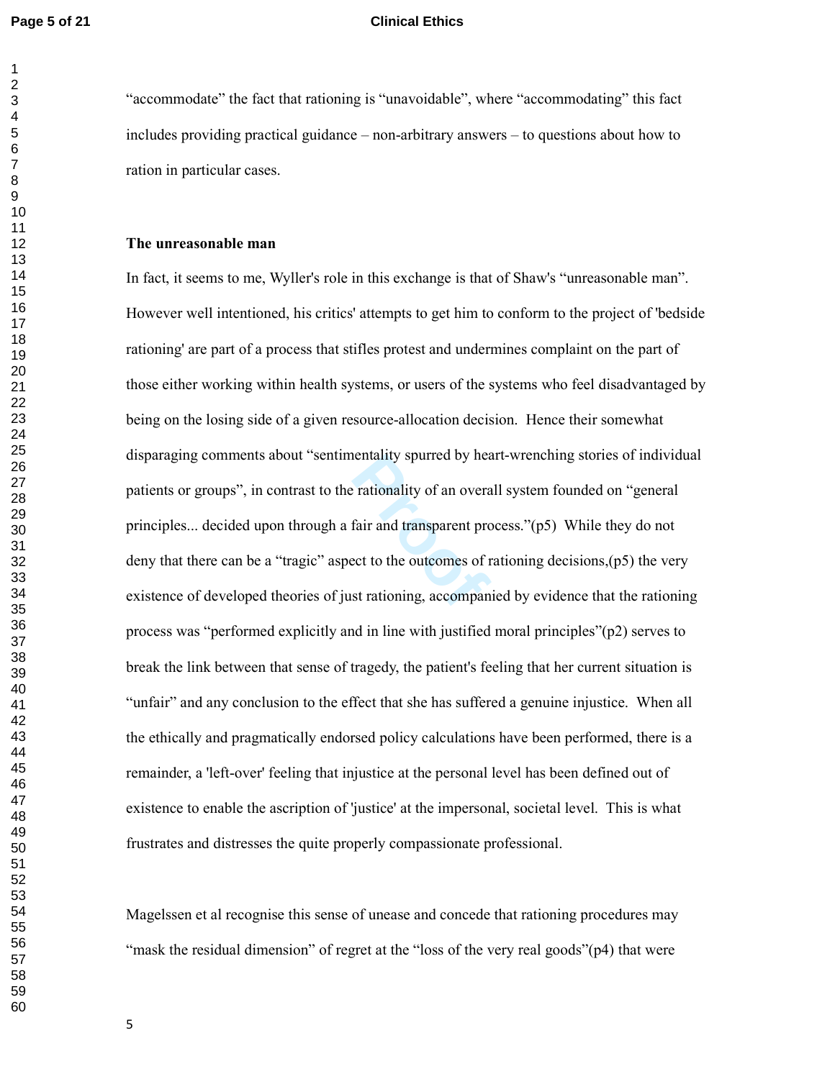#### **Page 5 of 21 Clinical Ethics**

"accommodate" the fact that rationing is "unavoidable", where "accommodating" this fact includes providing practical guidance – non-arbitrary answers – to questions about how to ration in particular cases.

### **The unreasonable man**

entality spurred by hea<br> **Propertially** of an overa<br>
fair and transparent pro<br>
ect to the outcomes of r<br>
st rationing, accompan In fact, it seems to me, Wyller's role in this exchange is that of Shaw's "unreasonable man". However well intentioned, his critics' attempts to get him to conform to the project of 'bedside rationing' are part of a process that stifles protest and undermines complaint on the part of those either working within health systems, or users of the systems who feel disadvantaged by being on the losing side of a given resource-allocation decision. Hence their somewhat disparaging comments about "sentimentality spurred by heart-wrenching stories of individual patients or groups", in contrast to the rationality of an overall system founded on "general principles... decided upon through a fair and transparent process."(p5) While they do not deny that there can be a "tragic" aspect to the outcomes of rationing decisions, $(p5)$  the very existence of developed theories of just rationing, accompanied by evidence that the rationing process was "performed explicitly and in line with justified moral principles"(p2) serves to break the link between that sense of tragedy, the patient's feeling that her current situation is "unfair" and any conclusion to the effect that she has suffered a genuine injustice. When all the ethically and pragmatically endorsed policy calculations have been performed, there is a remainder, a 'left-over' feeling that injustice at the personal level has been defined out of existence to enable the ascription of 'justice' at the impersonal, societal level. This is what frustrates and distresses the quite properly compassionate professional.

Magelssen et al recognise this sense of unease and concede that rationing procedures may "mask the residual dimension" of regret at the "loss of the very real goods"(p4) that were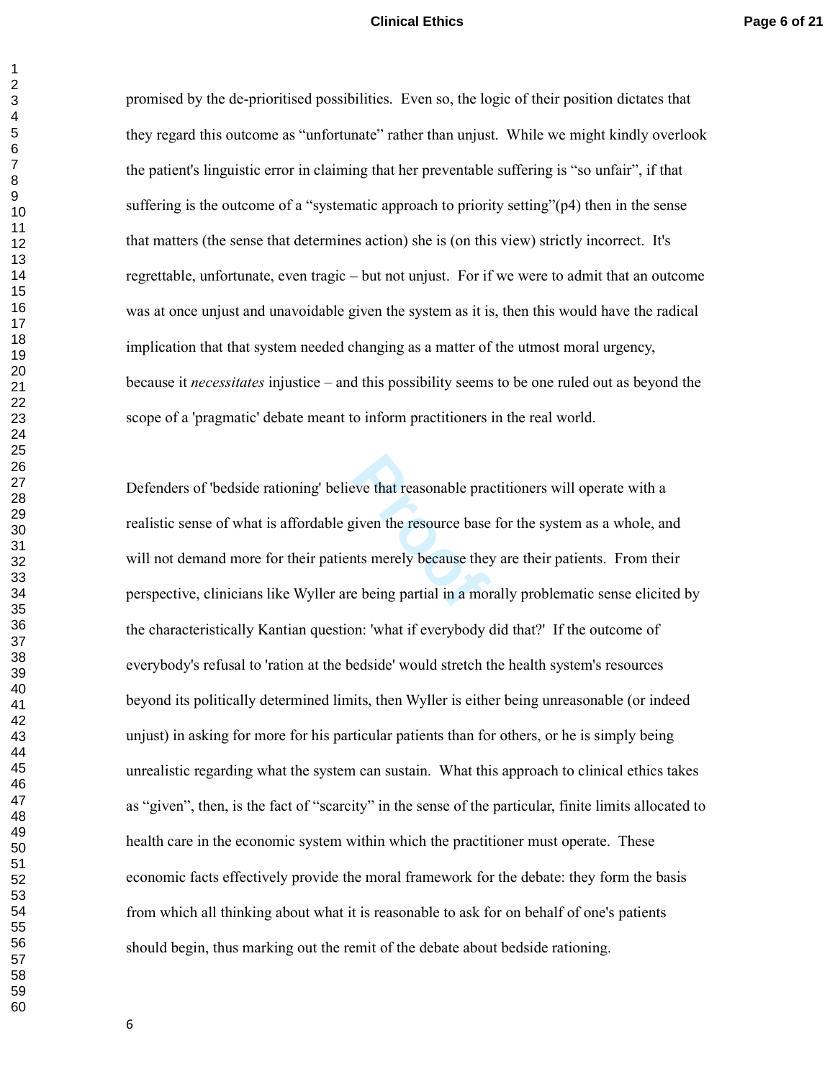### **Clinical Ethics Page 6 of 21**

promised by the de-prioritised possibilities. Even so, the logic of their position dictates that they regard this outcome as "unfortunate" rather than unjust. While we might kindly overlook the patient's linguistic error in claiming that her preventable suffering is "so unfair", if that suffering is the outcome of a "systematic approach to priority setting"(p4) then in the sense that matters (the sense that determines action) she is (on this view) strictly incorrect. It's regrettable, unfortunate, even tragic – but not unjust. For if we were to admit that an outcome was at once unjust and unavoidable given the system as it is, then this would have the radical implication that that system needed changing as a matter of the utmost moral urgency, because it *necessitates* injustice – and this possibility seems to be one ruled out as beyond the scope of a 'pragmatic' debate meant to inform practitioners in the real world.

**Propertively**<br>**Propertively**<br>**Properties**<br>**Properties**<br>**Properties**<br>**Properties**<br>**Properties**<br>**Properties**<br>**Properties**<br>**Properties**<br>**Properties**<br>**Properties**<br>**Properties**<br>**Properties**<br>**Properties**<br>**Properties**<br>**Propertie** Defenders of 'bedside rationing' believe that reasonable practitioners will operate with a realistic sense of what is affordable given the resource base for the system as a whole, and will not demand more for their patients merely because they are their patients. From their perspective, clinicians like Wyller are being partial in a morally problematic sense elicited by the characteristically Kantian question: 'what if everybody did that?' If the outcome of everybody's refusal to 'ration at the bedside' would stretch the health system's resources beyond its politically determined limits, then Wyller is either being unreasonable (or indeed unjust) in asking for more for his particular patients than for others, or he is simply being unrealistic regarding what the system can sustain. What this approach to clinical ethics takes as "given", then, is the fact of "scarcity" in the sense of the particular, finite limits allocated to health care in the economic system within which the practitioner must operate. These economic facts effectively provide the moral framework for the debate: they form the basis from which all thinking about what it is reasonable to ask for on behalf of one's patients should begin, thus marking out the remit of the debate about bedside rationing.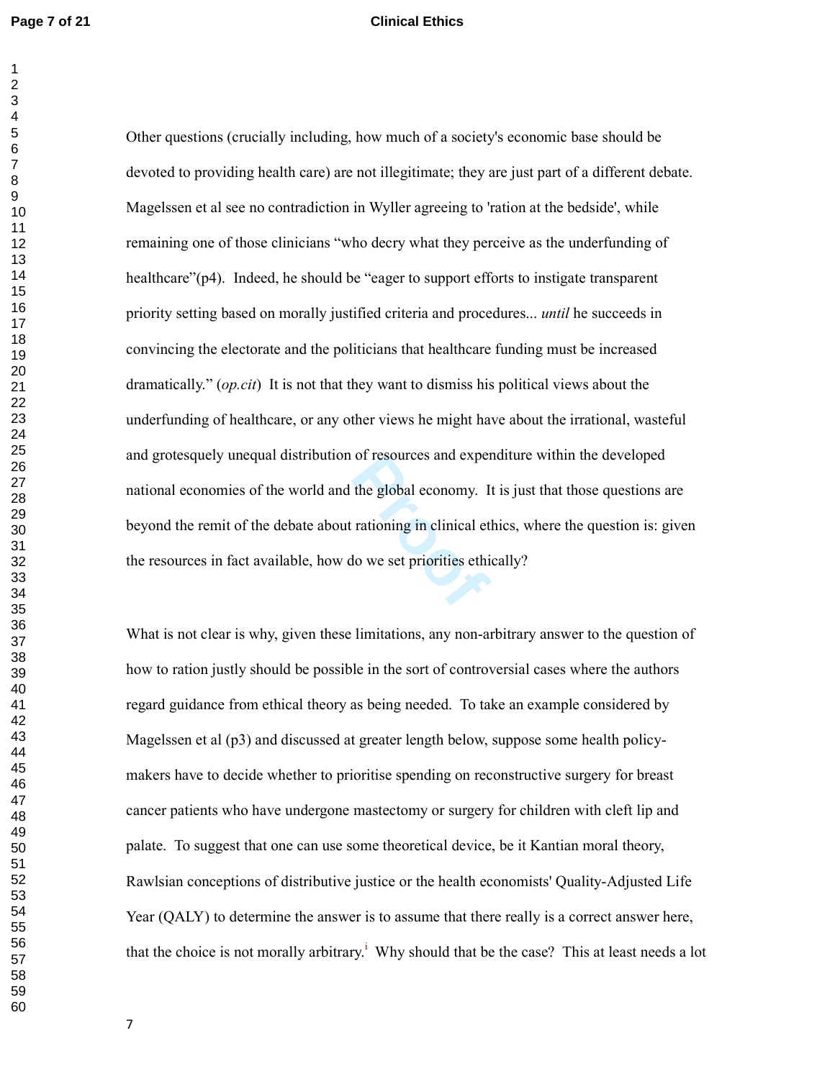#### **Page 7 of 21 Clinical Ethics**

of resources and experience of resources and experience the global economy. If rationing in clinical ethical experience the set priorities ethical experience the set priorities ethical experience of  $P$ Other questions (crucially including, how much of a society's economic base should be devoted to providing health care) are not illegitimate; they are just part of a different debate. Magelssen et al see no contradiction in Wyller agreeing to 'ration at the bedside', while remaining one of those clinicians "who decry what they perceive as the underfunding of healthcare"(p4). Indeed, he should be "eager to support efforts to instigate transparent priority setting based on morally justified criteria and procedures... *until* he succeeds in convincing the electorate and the politicians that healthcare funding must be increased dramatically." (*op.cit*) It is not that they want to dismiss his political views about the underfunding of healthcare, or any other views he might have about the irrational, wasteful and grotesquely unequal distribution of resources and expenditure within the developed national economies of the world and the global economy. It is just that those questions are beyond the remit of the debate about rationing in clinical ethics, where the question is: given the resources in fact available, how do we set priorities ethically?

What is not clear is why, given these limitations, any non-arbitrary answer to the question of how to ration justly should be possible in the sort of controversial cases where the authors regard guidance from ethical theory as being needed. To take an example considered by Magelssen et al (p3) and discussed at greater length below, suppose some health policymakers have to decide whether to prioritise spending on reconstructive surgery for breast cancer patients who have undergone mastectomy or surgery for children with cleft lip and palate. To suggest that one can use some theoretical device, be it Kantian moral theory, Rawlsian conceptions of distributive justice or the health economists' Quality-Adjusted Life Year (QALY) to determine the answer is to assume that there really is a correct answer here, that the choice is not morally arbitrary.<sup>i</sup> Why should that be the case? This at least needs a lot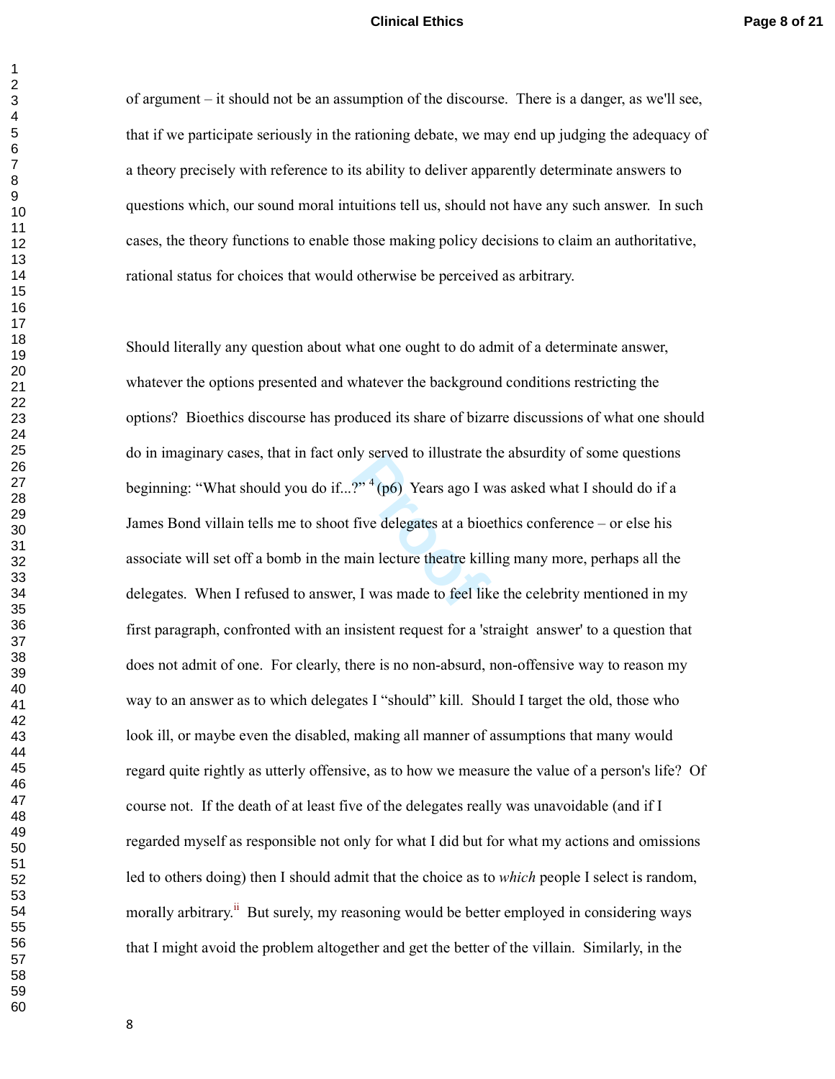### **Clinical Ethics Page 8 of 21**

of argument – it should not be an assumption of the discourse. There is a danger, as we'll see, that if we participate seriously in the rationing debate, we may end up judging the adequacy of a theory precisely with reference to its ability to deliver apparently determinate answers to questions which, our sound moral intuitions tell us, should not have any such answer. In such cases, the theory functions to enable those making policy decisions to claim an authoritative, rational status for choices that would otherwise be perceived as arbitrary.

<sup>2</sup><sup>, 4</sup> (p6) Years ago I w<br>five delegates at a bioe<br>hain lecture theatre kill:<br>i, I was made to feel lik Should literally any question about what one ought to do admit of a determinate answer, whatever the options presented and whatever the background conditions restricting the options? Bioethics discourse has produced its share of bizarre discussions of what one should do in imaginary cases, that in fact only served to illustrate the absurdity of some questions beginning: "What should you do if...?"<sup>4</sup>(p6) Years ago I was asked what I should do if a James Bond villain tells me to shoot five delegates at a bioethics conference – or else his associate will set off a bomb in the main lecture theatre killing many more, perhaps all the delegates. When I refused to answer, I was made to feel like the celebrity mentioned in my first paragraph, confronted with an insistent request for a 'straight answer' to a question that does not admit of one. For clearly, there is no non-absurd, non-offensive way to reason my way to an answer as to which delegates I "should" kill. Should I target the old, those who look ill, or maybe even the disabled, making all manner of assumptions that many would regard quite rightly as utterly offensive, as to how we measure the value of a person's life? Of course not. If the death of at least five of the delegates really was unavoidable (and if I regarded myself as responsible not only for what I did but for what my actions and omissions led to others doing) then I should admit that the choice as to *which* people I select is random, morally arbitrary.<sup>ii</sup> But surely, my reasoning would be better employed in considering ways that I might avoid the problem altogether and get the better of the villain. Similarly, in the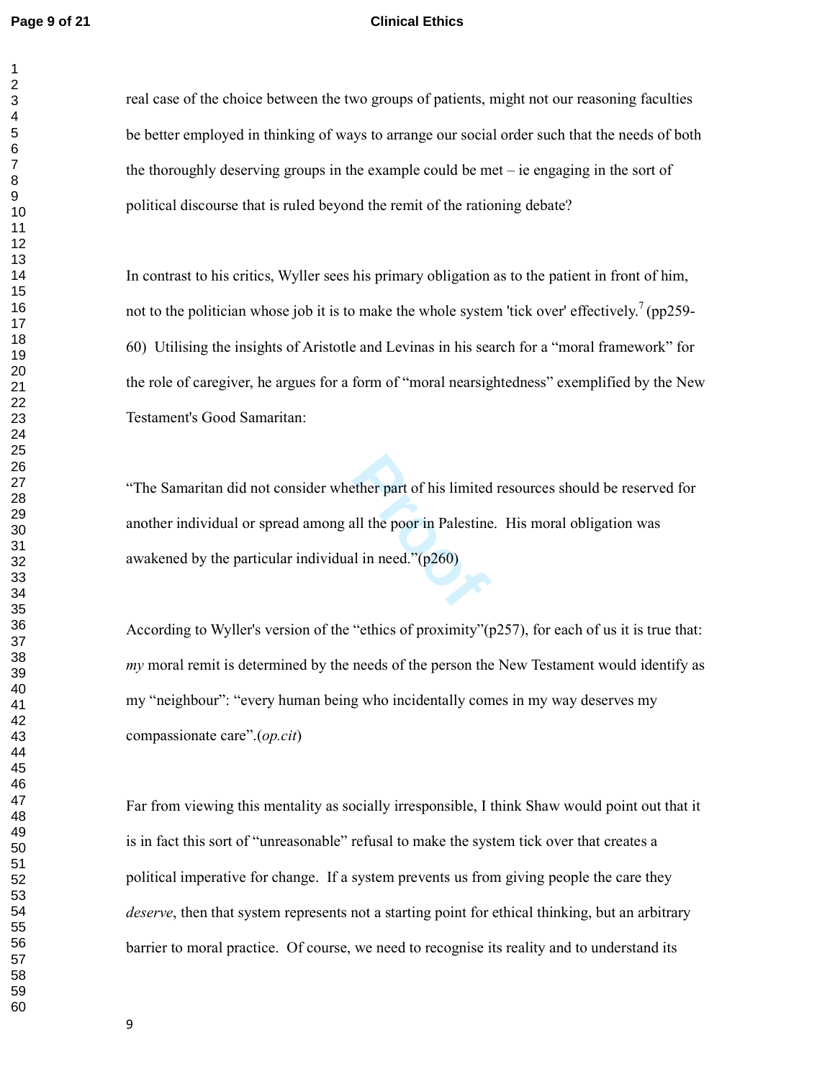#### **Page 9 of 21 Clinical Ethics**

real case of the choice between the two groups of patients, might not our reasoning faculties be better employed in thinking of ways to arrange our social order such that the needs of both the thoroughly deserving groups in the example could be met – ie engaging in the sort of political discourse that is ruled beyond the remit of the rationing debate?

In contrast to his critics, Wyller sees his primary obligation as to the patient in front of him, not to the politician whose job it is to make the whole system 'tick over' effectively.<sup>7</sup> (pp259-60) Utilising the insights of Aristotle and Levinas in his search for a "moral framework" for the role of caregiver, he argues for a form of "moral nearsightedness" exemplified by the New Testament's Good Samaritan:

ether part of his limited<br>all the poor in Palestine<br>al in need."(p260) "The Samaritan did not consider whether part of his limited resources should be reserved for another individual or spread among all the poor in Palestine. His moral obligation was awakened by the particular individual in need."(p260)

According to Wyller's version of the "ethics of proximity"(p257), for each of us it is true that: *my* moral remit is determined by the needs of the person the New Testament would identify as my "neighbour": "every human being who incidentally comes in my way deserves my compassionate care".(*op.cit*)

Far from viewing this mentality as socially irresponsible, I think Shaw would point out that it is in fact this sort of "unreasonable" refusal to make the system tick over that creates a political imperative for change. If a system prevents us from giving people the care they *deserve*, then that system represents not a starting point for ethical thinking, but an arbitrary barrier to moral practice. Of course, we need to recognise its reality and to understand its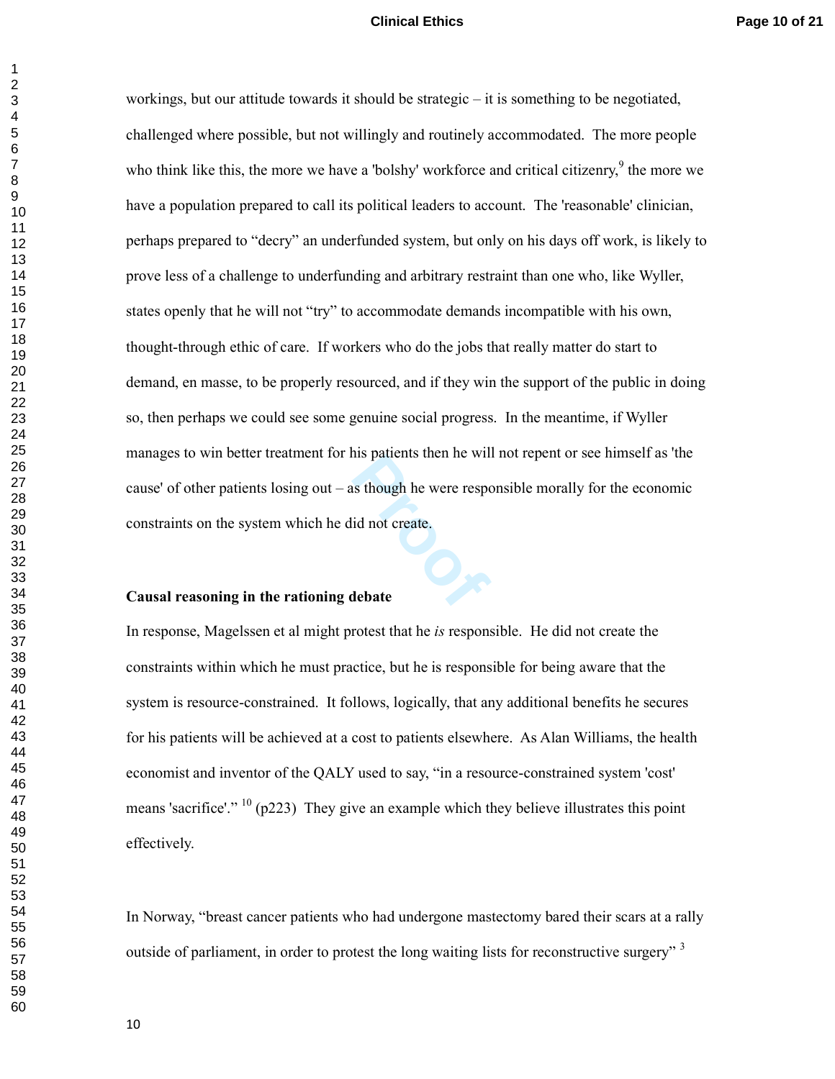**Provided Assumes the Example 18 September 18 September 18 September 18 September 18 September 18 September 18 September 18 September 18 September 18 September 18 September 18 September 18 September 18 September 18 Septemb** workings, but our attitude towards it should be strategic – it is something to be negotiated, challenged where possible, but not willingly and routinely accommodated. The more people who think like this, the more we have a 'bolshy' workforce and critical citizenry,  $9$  the more we have a population prepared to call its political leaders to account. The 'reasonable' clinician, perhaps prepared to "decry" an underfunded system, but only on his days off work, is likely to prove less of a challenge to underfunding and arbitrary restraint than one who, like Wyller, states openly that he will not "try" to accommodate demands incompatible with his own, thought-through ethic of care. If workers who do the jobs that really matter do start to demand, en masse, to be properly resourced, and if they win the support of the public in doing so, then perhaps we could see some genuine social progress. In the meantime, if Wyller manages to win better treatment for his patients then he will not repent or see himself as 'the cause' of other patients losing out – as though he were responsible morally for the economic constraints on the system which he did not create.

### **Causal reasoning in the rationing debate**

In response, Magelssen et al might protest that he *is* responsible. He did not create the constraints within which he must practice, but he is responsible for being aware that the system is resource-constrained. It follows, logically, that any additional benefits he secures for his patients will be achieved at a cost to patients elsewhere. As Alan Williams, the health economist and inventor of the QALY used to say, "in a resource-constrained system 'cost' means 'sacrifice'."  $^{10}$  (p223) They give an example which they believe illustrates this point effectively.

In Norway, "breast cancer patients who had undergone mastectomy bared their scars at a rally outside of parliament, in order to protest the long waiting lists for reconstructive surgery" <sup>3</sup>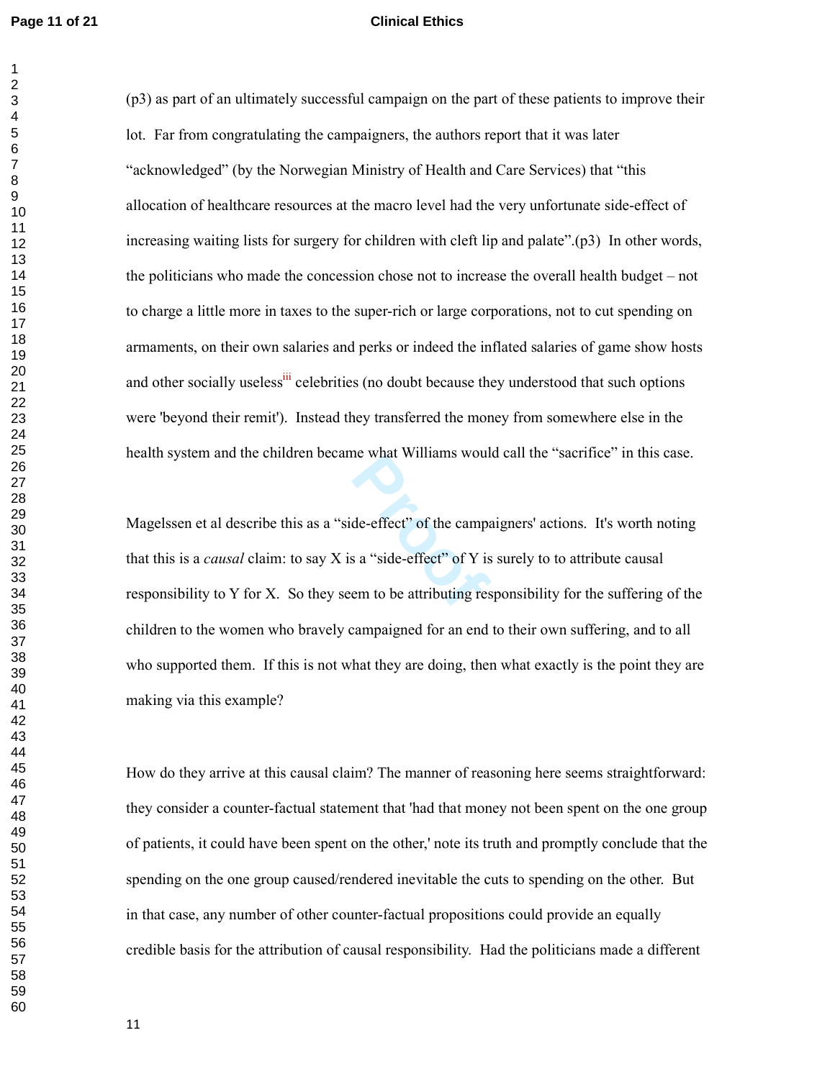#### **Page 11 of 21 Clinical Ethics**

(p3) as part of an ultimately successful campaign on the part of these patients to improve their lot. Far from congratulating the campaigners, the authors report that it was later "acknowledged" (by the Norwegian Ministry of Health and Care Services) that "this allocation of healthcare resources at the macro level had the very unfortunate side-effect of increasing waiting lists for surgery for children with cleft lip and palate".(p3) In other words, the politicians who made the concession chose not to increase the overall health budget – not to charge a little more in taxes to the super-rich or large corporations, not to cut spending on armaments, on their own salaries and perks or indeed the inflated salaries of game show hosts and other socially useless<sup>iii</sup> celebrities (no doubt because they understood that such options were 'beyond their remit'). Instead they transferred the money from somewhere else in the health system and the children became what Williams would call the "sacrifice" in this case.

de-effect" of the campa<br>
a "side-effect" of Y is<br>
em to be attributing res Magelssen et al describe this as a "side-effect" of the campaigners' actions. It's worth noting that this is a *causal* claim: to say X is a "side-effect" of Y is surely to to attribute causal responsibility to Y for X. So they seem to be attributing responsibility for the suffering of the children to the women who bravely campaigned for an end to their own suffering, and to all who supported them. If this is not what they are doing, then what exactly is the point they are making via this example?

How do they arrive at this causal claim? The manner of reasoning here seems straightforward: they consider a counter-factual statement that 'had that money not been spent on the one group of patients, it could have been spent on the other,' note its truth and promptly conclude that the spending on the one group caused/rendered inevitable the cuts to spending on the other. But in that case, any number of other counter-factual propositions could provide an equally credible basis for the attribution of causal responsibility. Had the politicians made a different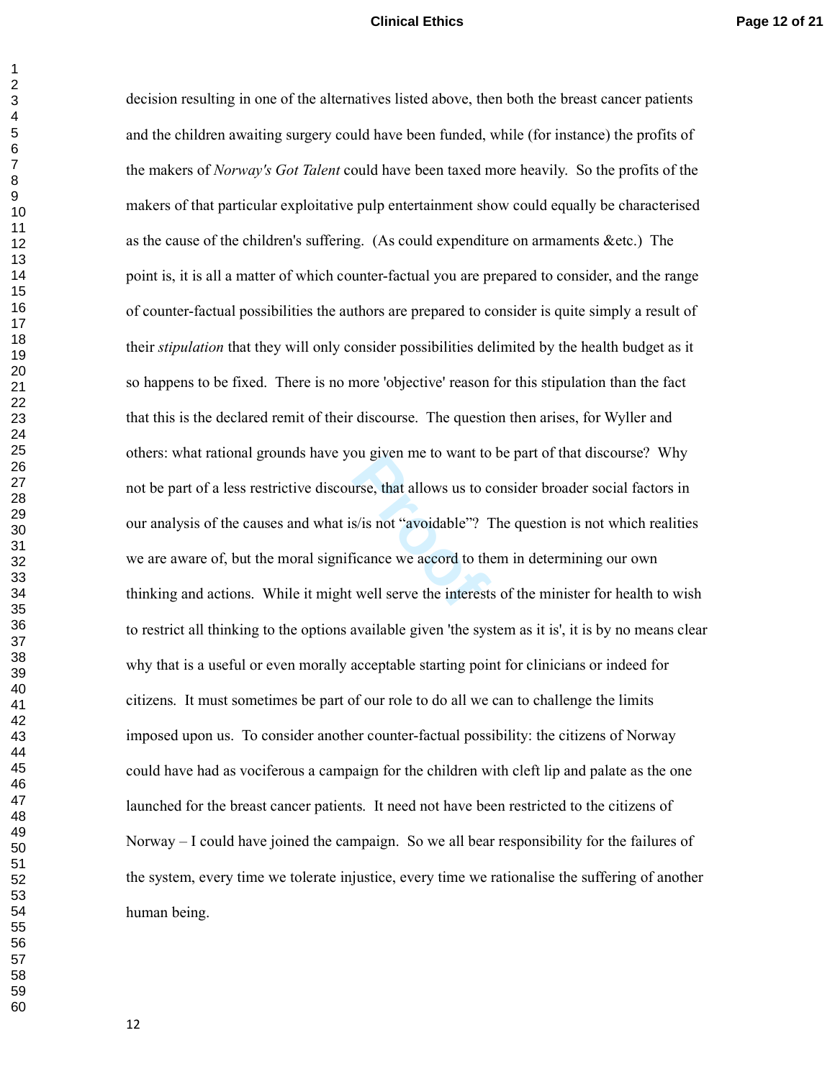bu given the to want to<br>time that allows us to c<br>s/is not "avoidable"? T<br>cance we accord to the<br>well serve the interest: decision resulting in one of the alternatives listed above, then both the breast cancer patients and the children awaiting surgery could have been funded, while (for instance) the profits of the makers of *Norway's Got Talent* could have been taxed more heavily. So the profits of the makers of that particular exploitative pulp entertainment show could equally be characterised as the cause of the children's suffering. (As could expenditure on armaments &etc.) The point is, it is all a matter of which counter-factual you are prepared to consider, and the range of counter-factual possibilities the authors are prepared to consider is quite simply a result of their *stipulation* that they will only consider possibilities delimited by the health budget as it so happens to be fixed. There is no more 'objective' reason for this stipulation than the fact that this is the declared remit of their discourse. The question then arises, for Wyller and others: what rational grounds have you given me to want to be part of that discourse? Why not be part of a less restrictive discourse, that allows us to consider broader social factors in our analysis of the causes and what is/is not "avoidable"? The question is not which realities we are aware of, but the moral significance we accord to them in determining our own thinking and actions. While it might well serve the interests of the minister for health to wish to restrict all thinking to the options available given 'the system as it is', it is by no means clear why that is a useful or even morally acceptable starting point for clinicians or indeed for citizens. It must sometimes be part of our role to do all we can to challenge the limits imposed upon us. To consider another counter-factual possibility: the citizens of Norway could have had as vociferous a campaign for the children with cleft lip and palate as the one launched for the breast cancer patients. It need not have been restricted to the citizens of Norway – I could have joined the campaign. So we all bear responsibility for the failures of the system, every time we tolerate injustice, every time we rationalise the suffering of another human being.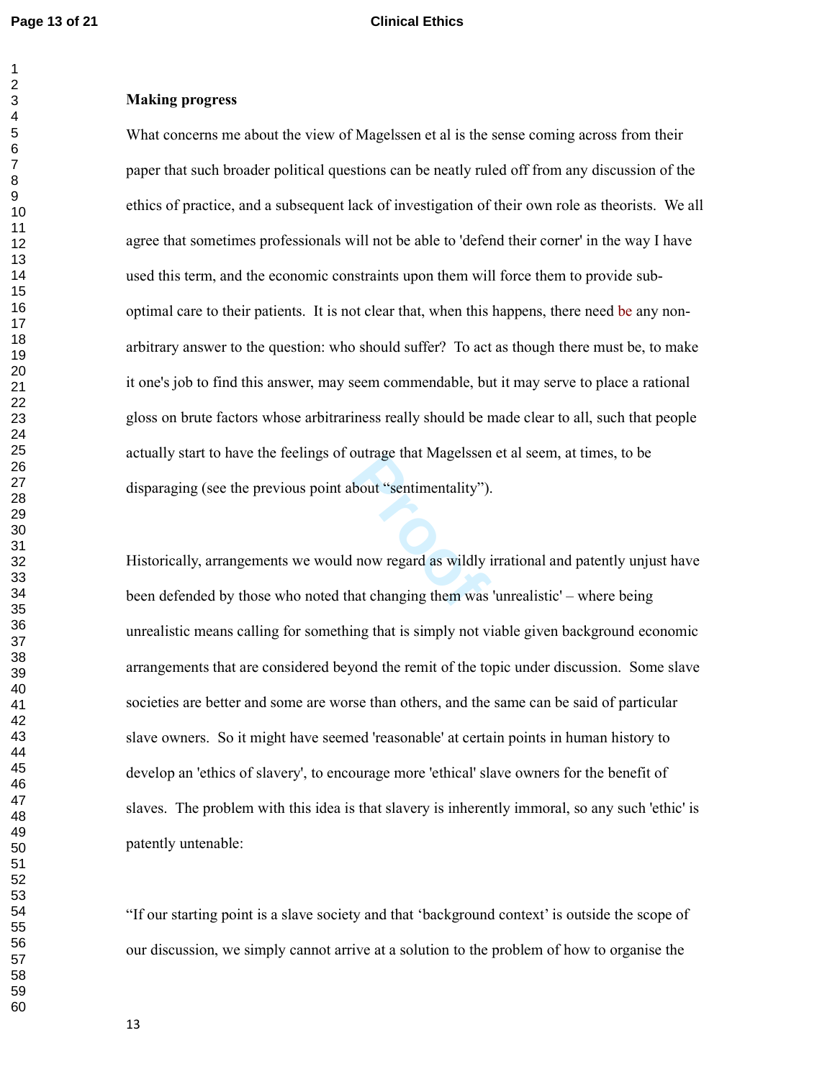#### **Page 13 of 21 Clinical Ethics**

#### **Making progress**

What concerns me about the view of Magelssen et al is the sense coming across from their paper that such broader political questions can be neatly ruled off from any discussion of the ethics of practice, and a subsequent lack of investigation of their own role as theorists. We all agree that sometimes professionals will not be able to 'defend their corner' in the way I have used this term, and the economic constraints upon them will force them to provide suboptimal care to their patients. It is not clear that, when this happens, there need be any nonarbitrary answer to the question: who should suffer? To act as though there must be, to make it one's job to find this answer, may seem commendable, but it may serve to place a rational gloss on brute factors whose arbitrariness really should be made clear to all, such that people actually start to have the feelings of outrage that Magelssen et al seem, at times, to be disparaging (see the previous point about "sentimentality").

bout "sentimentality").<br>
bout "sentimentality").<br>
now regard as wildly if<br>
at changing them was Historically, arrangements we would now regard as wildly irrational and patently unjust have been defended by those who noted that changing them was 'unrealistic' – where being unrealistic means calling for something that is simply not viable given background economic arrangements that are considered beyond the remit of the topic under discussion. Some slave societies are better and some are worse than others, and the same can be said of particular slave owners. So it might have seemed 'reasonable' at certain points in human history to develop an 'ethics of slavery', to encourage more 'ethical' slave owners for the benefit of slaves. The problem with this idea is that slavery is inherently immoral, so any such 'ethic' is patently untenable:

"If our starting point is a slave society and that 'background context' is outside the scope of our discussion, we simply cannot arrive at a solution to the problem of how to organise the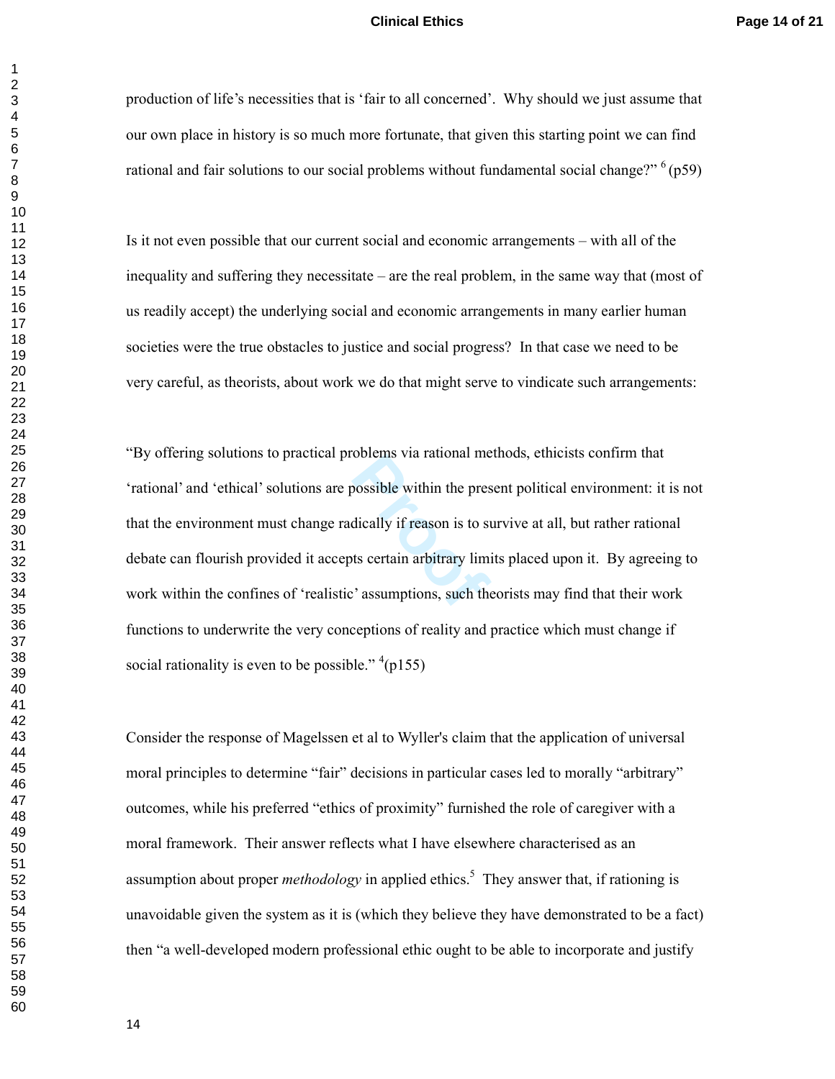production of life's necessities that is 'fair to all concerned'. Why should we just assume that our own place in history is so much more fortunate, that given this starting point we can find rational and fair solutions to our social problems without fundamental social change?"  $6($ p59)

Is it not even possible that our current social and economic arrangements – with all of the inequality and suffering they necessitate – are the real problem, in the same way that (most of us readily accept) the underlying social and economic arrangements in many earlier human societies were the true obstacles to justice and social progress? In that case we need to be very careful, as theorists, about work we do that might serve to vindicate such arrangements:

bootens via rationar me<br>
possible within the pres<br>
dically if reason is to su<br>
ts certain arbitrary limi<br>
<sup>2</sup> assumptions, such the "By offering solutions to practical problems via rational methods, ethicists confirm that 'rational' and 'ethical' solutions are possible within the present political environment: it is not that the environment must change radically if reason is to survive at all, but rather rational debate can flourish provided it accepts certain arbitrary limits placed upon it. By agreeing to work within the confines of 'realistic' assumptions, such theorists may find that their work functions to underwrite the very conceptions of reality and practice which must change if social rationality is even to be possible."  $\binom{4}{155}$ 

Consider the response of Magelssen et al to Wyller's claim that the application of universal moral principles to determine "fair" decisions in particular cases led to morally "arbitrary" outcomes, while his preferred "ethics of proximity" furnished the role of caregiver with a moral framework. Their answer reflects what I have elsewhere characterised as an assumption about proper *methodology* in applied ethics.<sup>5</sup> They answer that, if rationing is unavoidable given the system as it is (which they believe they have demonstrated to be a fact) then "a well-developed modern professional ethic ought to be able to incorporate and justify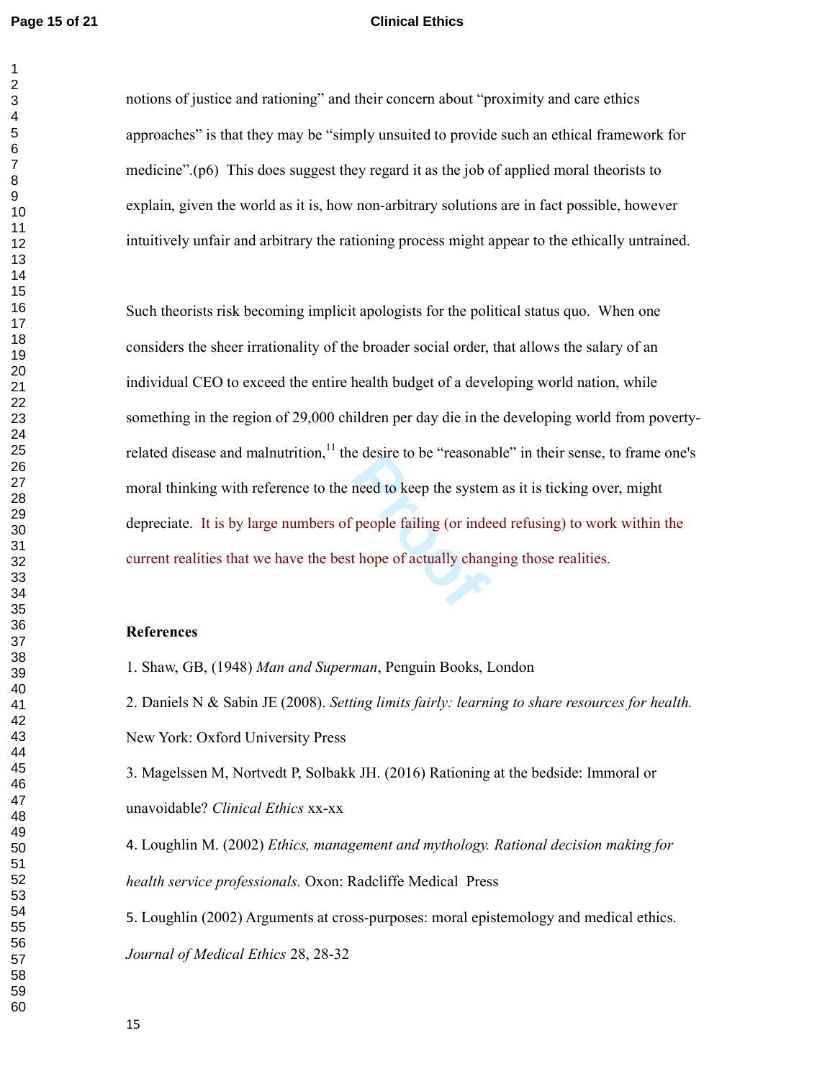#### **Page 15 of 21 Clinical Ethics**

notions of justice and rationing" and their concern about "proximity and care ethics approaches" is that they may be "simply unsuited to provide such an ethical framework for medicine".(p6) This does suggest they regard it as the job of applied moral theorists to explain, given the world as it is, how non-arbitrary solutions are in fact possible, however intuitively unfair and arbitrary the rationing process might appear to the ethically untrained.

reashe to be Teasona<br>
reed to keep the system<br>
people failing (or inde<br>
thope of actually changed Such theorists risk becoming implicit apologists for the political status quo. When one considers the sheer irrationality of the broader social order, that allows the salary of an individual CEO to exceed the entire health budget of a developing world nation, while something in the region of 29,000 children per day die in the developing world from povertyrelated disease and malnutrition, the desire to be "reasonable" in their sense, to frame one's moral thinking with reference to the need to keep the system as it is ticking over, might depreciate. It is by large numbers of people failing (or indeed refusing) to work within the current realities that we have the best hope of actually changing those realities.

#### **References**

1. Shaw, GB, (1948) *Man and Superman*, Penguin Books, London

2. Daniels N & Sabin JE (2008). *Setting limits fairly: learning to share resources for health.* New York: Oxford University Press

3. Magelssen M, Nortvedt P, Solbakk JH. (2016) Rationing at the bedside: Immoral or unavoidable? *Clinical Ethics* xx-xx

4. Loughlin M. (2002) *Ethics, management and mythology. Rational decision making for health service professionals.* Oxon: Radcliffe Medical Press

5. Loughlin (2002) Arguments at cross-purposes: moral epistemology and medical ethics. *Journal of Medical Ethics* 28, 28-32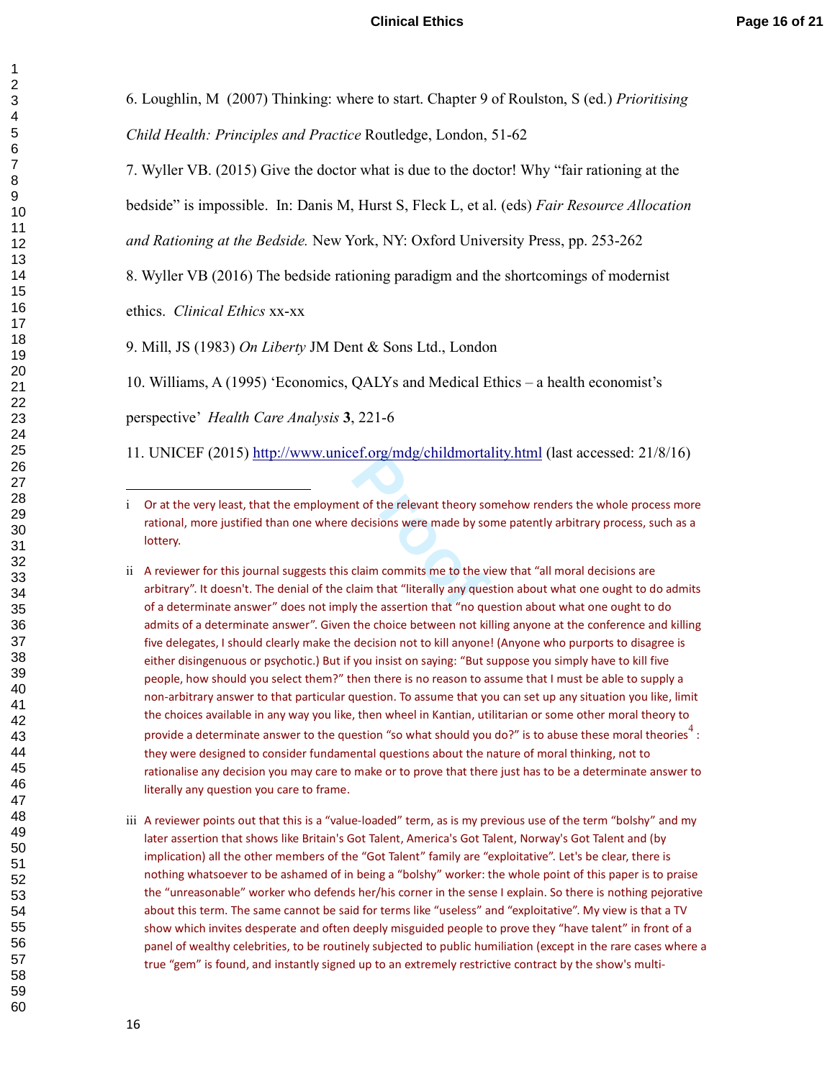6. Loughlin, M (2007) Thinking: where to start. Chapter 9 of Roulston, S (ed.) *Prioritising Child Health: Principles and Practice* Routledge, London, 51-62

7. Wyller VB. (2015) Give the doctor what is due to the doctor! Why "fair rationing at the

bedside" is impossible. In: Danis M, Hurst S, Fleck L, et al. (eds) *Fair Resource Allocation* 

*and Rationing at the Bedside.* New York, NY: Oxford University Press, pp. 253-262

8. Wyller VB (2016) The bedside rationing paradigm and the shortcomings of modernist

ethics. *Clinical Ethics* xx-xx

9. Mill, JS (1983) *On Liberty* JM Dent & Sons Ltd., London

10. Williams, A (1995) 'Economics, QALYs and Medical Ethics – a health economist's

perspective' *Health Care Analysis* **3**, 221-6

11. UNICEF (2015) http://www.unicef.org/mdg/childmortality.html (last accessed: 21/8/16)

**Proof**<br>the relevant theory soficially be<br>decisions were made by soficially be violated by the vidam commits me to the vidam that "literally any quest i Or at the very least, that the employment of the relevant theory somehow renders the whole process more rational, more justified than one where decisions were made by some patently arbitrary process, such as a lottery.

ii A reviewer for this journal suggests this claim commits me to the view that "all moral decisions are arbitrary". It doesn't. The denial of the claim that "literally any question about what one ought to do admits of a determinate answer" does not imply the assertion that "no question about what one ought to do admits of a determinate answer". Given the choice between not killing anyone at the conference and killing five delegates, I should clearly make the decision not to kill anyone! (Anyone who purports to disagree is either disingenuous or psychotic.) But if you insist on saying: "But suppose you simply have to kill five people, how should you select them?" then there is no reason to assume that I must be able to supply a non-arbitrary answer to that particular question. To assume that you can set up any situation you like, limit the choices available in any way you like, then wheel in Kantian, utilitarian or some other moral theory to provide a determinate answer to the question "so what should you do?" is to abuse these moral theories<sup>4</sup> : they were designed to consider fundamental questions about the nature of moral thinking, not to rationalise any decision you may care to make or to prove that there just has to be a determinate answer to literally any question you care to frame.

iii A reviewer points out that this is a "value-loaded" term, as is my previous use of the term "bolshy" and my later assertion that shows like Britain's Got Talent, America's Got Talent, Norway's Got Talent and (by implication) all the other members of the "Got Talent" family are "exploitative". Let's be clear, there is nothing whatsoever to be ashamed of in being a "bolshy" worker: the whole point of this paper is to praise the "unreasonable" worker who defends her/his corner in the sense I explain. So there is nothing pejorative about this term. The same cannot be said for terms like "useless" and "exploitative". My view is that a TV show which invites desperate and often deeply misguided people to prove they "have talent" in front of a panel of wealthy celebrities, to be routinely subjected to public humiliation (except in the rare cases where a true "gem" is found, and instantly signed up to an extremely restrictive contract by the show's multi-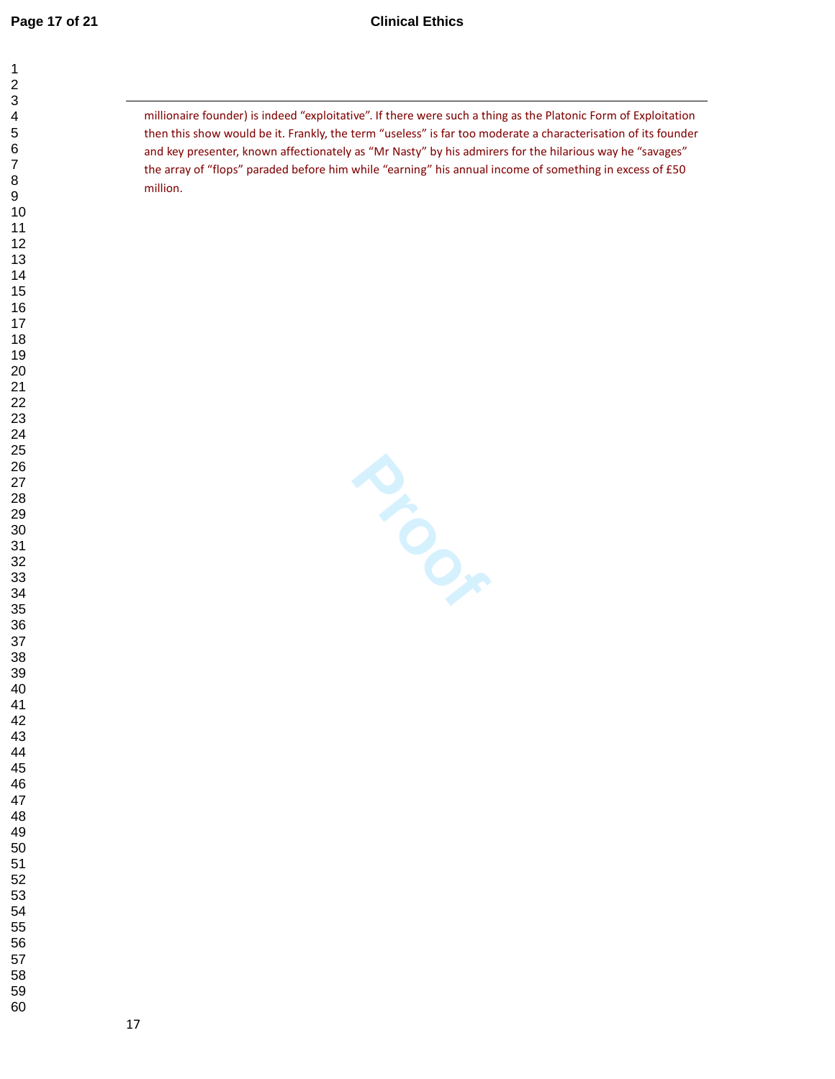### **Page 17 of 21 Clinical Ethics**

  millionaire founder) is indeed "exploitative". If there were such a thing as the Platonic Form of Exploitation then this show would be it. Frankly, the term "useless" is far too moderate a characterisation of its founder and key presenter, known affectionately as "Mr Nasty" by his admirers for the hilarious way he "savages" the array of "flops" paraded before him while "earning" his annual income of something in excess of £50 million.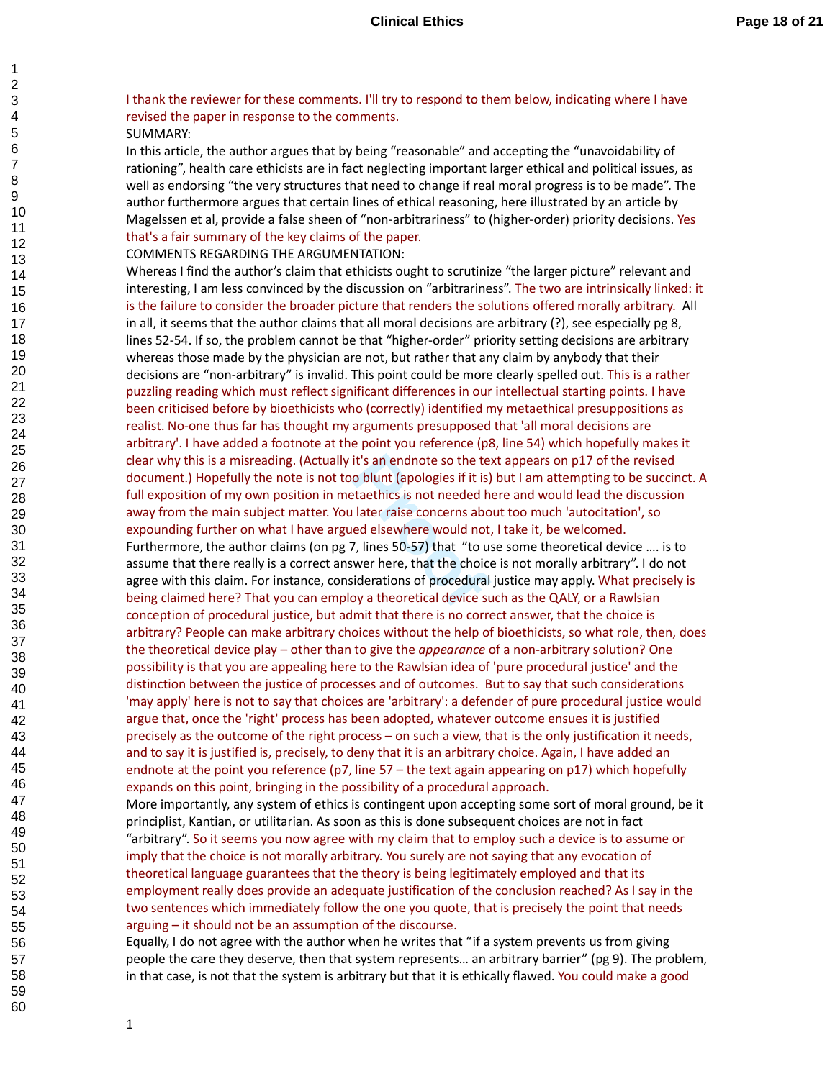# I thank the reviewer for these comments. I'll try to respond to them below, indicating where I have revised the paper in response to the comments.

#### SUMMARY:

In this article, the author argues that by being "reasonable" and accepting the "unavoidability of rationing", health care ethicists are in fact neglecting important larger ethical and political issues, as well as endorsing "the very structures that need to change if real moral progress is to be made". The author furthermore argues that certain lines of ethical reasoning, here illustrated by an article by Magelssen et al, provide a false sheen of "non-arbitrariness" to (higher-order) priority decisions. Yes that's a fair summary of the key claims of the paper.

#### COMMENTS REGARDING THE ARGUMENTATION:

it's an endnote so the text<br>o blunt (apologies if it is)<br>taethics is not needed h<br>later raise concerns abo<br>ed elsewhere would not,<br>7, lines 50-57) that "to us<br>wer here, that the choice<br>iderations of procedural<br>by a theoret Whereas I find the author's claim that ethicists ought to scrutinize "the larger picture" relevant and interesting, I am less convinced by the discussion on "arbitrariness". The two are intrinsically linked: it is the failure to consider the broader picture that renders the solutions offered morally arbitrary. All in all, it seems that the author claims that all moral decisions are arbitrary (?), see especially pg 8, lines 52-54. If so, the problem cannot be that "higher-order" priority setting decisions are arbitrary whereas those made by the physician are not, but rather that any claim by anybody that their decisions are "non-arbitrary" is invalid. This point could be more clearly spelled out. This is a rather puzzling reading which must reflect significant differences in our intellectual starting points. I have been criticised before by bioethicists who (correctly) identified my metaethical presuppositions as realist. No-one thus far has thought my arguments presupposed that 'all moral decisions are arbitrary'. I have added a footnote at the point you reference (p8, line 54) which hopefully makes it clear why this is a misreading. (Actually it's an endnote so the text appears on p17 of the revised document.) Hopefully the note is not too blunt (apologies if it is) but I am attempting to be succinct. A full exposition of my own position in metaethics is not needed here and would lead the discussion away from the main subject matter. You later raise concerns about too much 'autocitation', so expounding further on what I have argued elsewhere would not, I take it, be welcomed. Furthermore, the author claims (on pg 7, lines 50-57) that "to use some theoretical device …. is to assume that there really is a correct answer here, that the choice is not morally arbitrary". I do not agree with this claim. For instance, considerations of procedural justice may apply. What precisely is being claimed here? That you can employ a theoretical device such as the QALY, or a Rawlsian conception of procedural justice, but admit that there is no correct answer, that the choice is arbitrary? People can make arbitrary choices without the help of bioethicists, so what role, then, does the theoretical device play – other than to give the *appearance* of a non-arbitrary solution? One possibility is that you are appealing here to the Rawlsian idea of 'pure procedural justice' and the distinction between the justice of processes and of outcomes. But to say that such considerations 'may apply' here is not to say that choices are 'arbitrary': a defender of pure procedural justice would argue that, once the 'right' process has been adopted, whatever outcome ensues it is justified precisely as the outcome of the right process – on such a view, that is the only justification it needs, and to say it is justified is, precisely, to deny that it is an arbitrary choice. Again, I have added an endnote at the point you reference ( $p7$ , line 57 – the text again appearing on  $p17$ ) which hopefully expands on this point, bringing in the possibility of a procedural approach.

More importantly, any system of ethics is contingent upon accepting some sort of moral ground, be it principlist, Kantian, or utilitarian. As soon as this is done subsequent choices are not in fact "arbitrary". So it seems you now agree with my claim that to employ such a device is to assume or imply that the choice is not morally arbitrary. You surely are not saying that any evocation of theoretical language guarantees that the theory is being legitimately employed and that its employment really does provide an adequate justification of the conclusion reached? As I say in the two sentences which immediately follow the one you quote, that is precisely the point that needs arguing – it should not be an assumption of the discourse.

Equally, I do not agree with the author when he writes that "if a system prevents us from giving people the care they deserve, then that system represents… an arbitrary barrier" (pg 9). The problem, in that case, is not that the system is arbitrary but that it is ethically flawed. You could make a good

> 59 60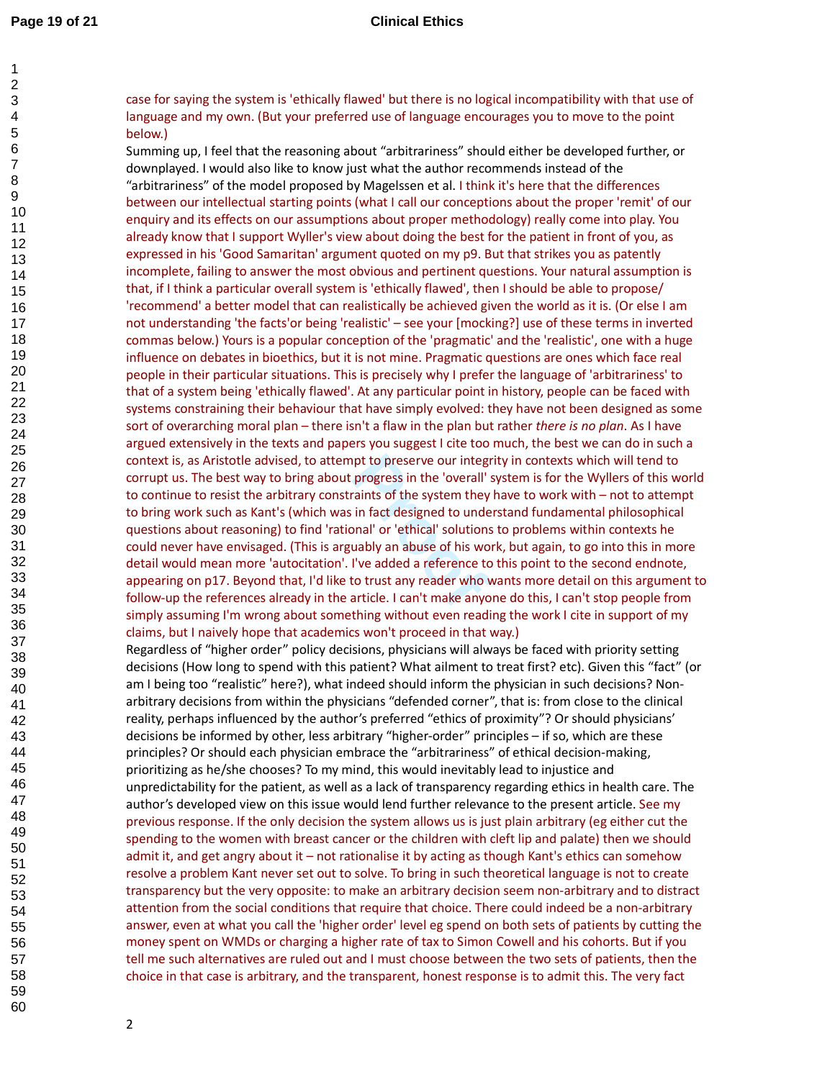#### **Page 19 of 21 Clinical Ethics**

case for saying the system is 'ethically flawed' but there is no logical incompatibility with that use of language and my own. (But your preferred use of language encourages you to move to the point below.)

profit to preserve our integr<br>progress in the 'overall' :<br>raints of the system they<br>in fact designed to unde<br>pnal' or 'ethical' solutions<br>uably an abuse of his wo<br>l've added a reference to<br>to trust any reader who v<br>article Summing up, I feel that the reasoning about "arbitrariness" should either be developed further, or downplayed. I would also like to know just what the author recommends instead of the "arbitrariness" of the model proposed by Magelssen et al. I think it's here that the differences between our intellectual starting points (what I call our conceptions about the proper 'remit' of our enquiry and its effects on our assumptions about proper methodology) really come into play. You already know that I support Wyller's view about doing the best for the patient in front of you, as expressed in his 'Good Samaritan' argument quoted on my p9. But that strikes you as patently incomplete, failing to answer the most obvious and pertinent questions. Your natural assumption is that, if I think a particular overall system is 'ethically flawed', then I should be able to propose/ 'recommend' a better model that can realistically be achieved given the world as it is. (Or else I am not understanding 'the facts'or being 'realistic' – see your [mocking?] use of these terms in inverted commas below.) Yours is a popular conception of the 'pragmatic' and the 'realistic', one with a huge influence on debates in bioethics, but it is not mine. Pragmatic questions are ones which face real people in their particular situations. This is precisely why I prefer the language of 'arbitrariness' to that of a system being 'ethically flawed'. At any particular point in history, people can be faced with systems constraining their behaviour that have simply evolved: they have not been designed as some sort of overarching moral plan – there isn't a flaw in the plan but rather *there is no plan*. As I have argued extensively in the texts and papers you suggest I cite too much, the best we can do in such a context is, as Aristotle advised, to attempt to preserve our integrity in contexts which will tend to corrupt us. The best way to bring about progress in the 'overall' system is for the Wyllers of this world to continue to resist the arbitrary constraints of the system they have to work with – not to attempt to bring work such as Kant's (which was in fact designed to understand fundamental philosophical questions about reasoning) to find 'rational' or 'ethical' solutions to problems within contexts he could never have envisaged. (This is arguably an abuse of his work, but again, to go into this in more detail would mean more 'autocitation'. I've added a reference to this point to the second endnote, appearing on p17. Beyond that, I'd like to trust any reader who wants more detail on this argument to follow-up the references already in the article. I can't make anyone do this, I can't stop people from simply assuming I'm wrong about something without even reading the work I cite in support of my claims, but I naively hope that academics won't proceed in that way.)

Regardless of "higher order" policy decisions, physicians will always be faced with priority setting decisions (How long to spend with this patient? What ailment to treat first? etc). Given this "fact" (or am I being too "realistic" here?), what indeed should inform the physician in such decisions? Nonarbitrary decisions from within the physicians "defended corner", that is: from close to the clinical reality, perhaps influenced by the author's preferred "ethics of proximity"? Or should physicians' decisions be informed by other, less arbitrary "higher-order" principles – if so, which are these principles? Or should each physician embrace the "arbitrariness" of ethical decision-making, prioritizing as he/she chooses? To my mind, this would inevitably lead to injustice and unpredictability for the patient, as well as a lack of transparency regarding ethics in health care. The author's developed view on this issue would lend further relevance to the present article. See my previous response. If the only decision the system allows us is just plain arbitrary (eg either cut the spending to the women with breast cancer or the children with cleft lip and palate) then we should admit it, and get angry about it – not rationalise it by acting as though Kant's ethics can somehow resolve a problem Kant never set out to solve. To bring in such theoretical language is not to create transparency but the very opposite: to make an arbitrary decision seem non-arbitrary and to distract attention from the social conditions that require that choice. There could indeed be a non-arbitrary answer, even at what you call the 'higher order' level eg spend on both sets of patients by cutting the money spent on WMDs or charging a higher rate of tax to Simon Cowell and his cohorts. But if you tell me such alternatives are ruled out and I must choose between the two sets of patients, then the choice in that case is arbitrary, and the transparent, honest response is to admit this. The very fact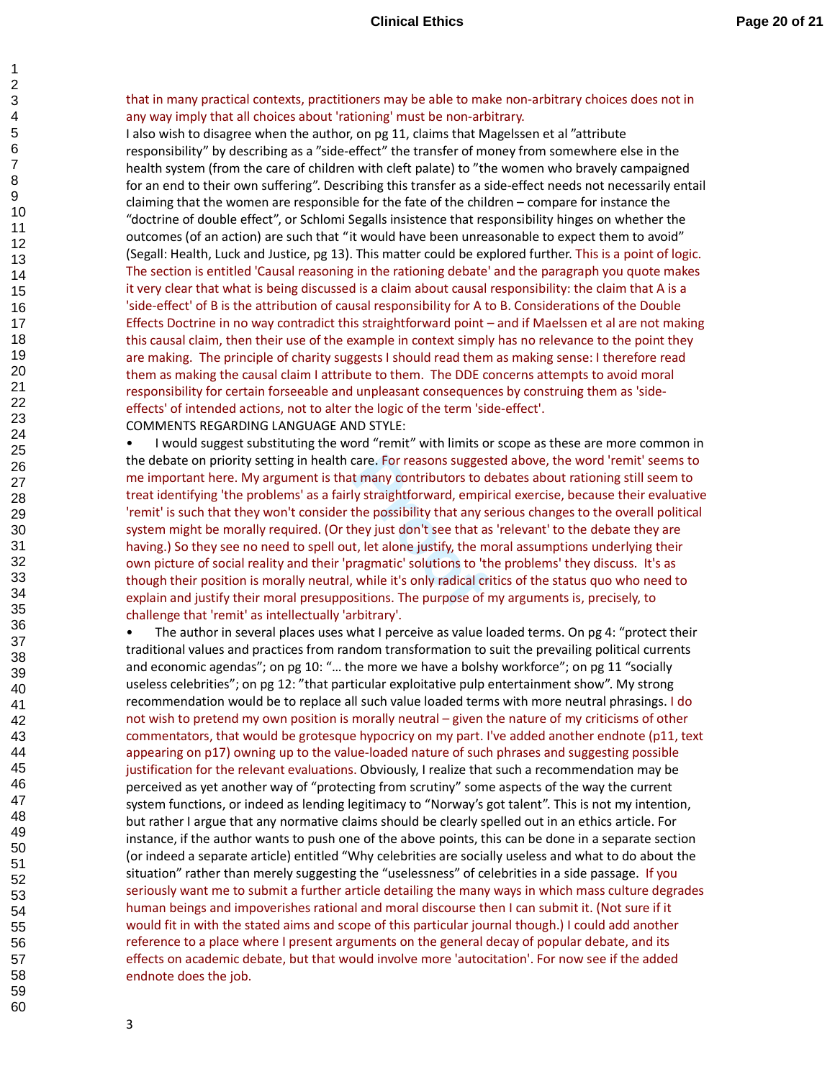#### that in many practical contexts, practitioners may be able to make non-arbitrary choices does not in any way imply that all choices about 'rationing' must be non-arbitrary.

I also wish to disagree when the author, on pg 11, claims that Magelssen et al "attribute responsibility" by describing as a "side-effect" the transfer of money from somewhere else in the health system (from the care of children with cleft palate) to "the women who bravely campaigned for an end to their own suffering". Describing this transfer as a side-effect needs not necessarily entail claiming that the women are responsible for the fate of the children – compare for instance the "doctrine of double effect", or Schlomi Segalls insistence that responsibility hinges on whether the outcomes (of an action) are such that "it would have been unreasonable to expect them to avoid" (Segall: Health, Luck and Justice, pg 13). This matter could be explored further. This is a point of logic. The section is entitled 'Causal reasoning in the rationing debate' and the paragraph you quote makes it very clear that what is being discussed is a claim about causal responsibility: the claim that A is a 'side-effect' of B is the attribution of causal responsibility for A to B. Considerations of the Double Effects Doctrine in no way contradict this straightforward point – and if Maelssen et al are not making this causal claim, then their use of the example in context simply has no relevance to the point they are making. The principle of charity suggests I should read them as making sense: I therefore read them as making the causal claim I attribute to them. The DDE concerns attempts to avoid moral responsibility for certain forseeable and unpleasant consequences by construing them as 'sideeffects' of intended actions, not to alter the logic of the term 'side-effect'. COMMENTS REGARDING LANGUAGE AND STYLE:

care. For reasons suggest<br>t many contributors to d<br>ly straightforward, empir<br>the possibility that any se<br>hey just don't see that as<br>t, let alone justify, the m<br>ragmatic' solutions to 'th<br>while it's only radical cri<br>sitions • I would suggest substituting the word "remit" with limits or scope as these are more common in the debate on priority setting in health care. For reasons suggested above, the word 'remit' seems to me important here. My argument is that many contributors to debates about rationing still seem to treat identifying 'the problems' as a fairly straightforward, empirical exercise, because their evaluative 'remit' is such that they won't consider the possibility that any serious changes to the overall political system might be morally required. (Or they just don't see that as 'relevant' to the debate they are having.) So they see no need to spell out, let alone justify, the moral assumptions underlying their own picture of social reality and their 'pragmatic' solutions to 'the problems' they discuss. It's as though their position is morally neutral, while it's only radical critics of the status quo who need to explain and justify their moral presuppositions. The purpose of my arguments is, precisely, to challenge that 'remit' as intellectually 'arbitrary'.

The author in several places uses what I perceive as value loaded terms. On pg 4: "protect their traditional values and practices from random transformation to suit the prevailing political currents and economic agendas"; on pg 10: "... the more we have a bolshy workforce"; on pg 11 "socially useless celebrities"; on pg 12: "that particular exploitative pulp entertainment show". My strong recommendation would be to replace all such value loaded terms with more neutral phrasings. I do not wish to pretend my own position is morally neutral – given the nature of my criticisms of other commentators, that would be grotesque hypocricy on my part. I've added another endnote (p11, text appearing on p17) owning up to the value-loaded nature of such phrases and suggesting possible justification for the relevant evaluations. Obviously, I realize that such a recommendation may be perceived as yet another way of "protecting from scrutiny" some aspects of the way the current system functions, or indeed as lending legitimacy to "Norway's got talent". This is not my intention, but rather I argue that any normative claims should be clearly spelled out in an ethics article. For instance, if the author wants to push one of the above points, this can be done in a separate section (or indeed a separate article) entitled "Why celebrities are socially useless and what to do about the situation" rather than merely suggesting the "uselessness" of celebrities in a side passage. If you seriously want me to submit a further article detailing the many ways in which mass culture degrades human beings and impoverishes rational and moral discourse then I can submit it. (Not sure if it would fit in with the stated aims and scope of this particular journal though.) I could add another reference to a place where I present arguments on the general decay of popular debate, and its effects on academic debate, but that would involve more 'autocitation'. For now see if the added endnote does the job.